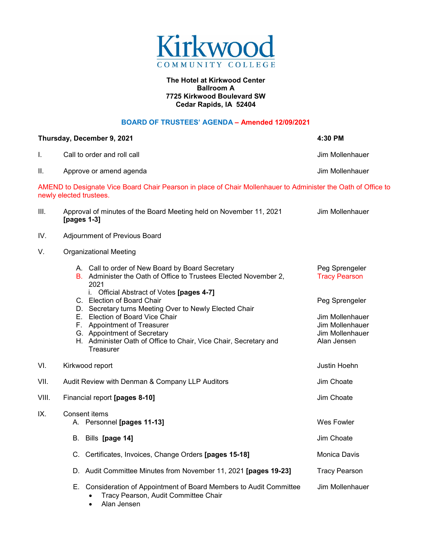

## **The Hotel at Kirkwood Center Ballroom A 7725 Kirkwood Boulevard SW Cedar Rapids, IA 52404**

## **BOARD OF TRUSTEES' AGENDA – Amended 12/09/2021**

|       | Thursday, December 9, 2021                                                                                                                                                                                                               | 4:30 PM                                                              |  |  |
|-------|------------------------------------------------------------------------------------------------------------------------------------------------------------------------------------------------------------------------------------------|----------------------------------------------------------------------|--|--|
| I.    | Call to order and roll call                                                                                                                                                                                                              | Jim Mollenhauer                                                      |  |  |
| ΙΙ.   | Approve or amend agenda                                                                                                                                                                                                                  | Jim Mollenhauer                                                      |  |  |
|       | AMEND to Designate Vice Board Chair Pearson in place of Chair Mollenhauer to Administer the Oath of Office to<br>newly elected trustees.                                                                                                 |                                                                      |  |  |
| III.  | Approval of minutes of the Board Meeting held on November 11, 2021<br>[pages 1-3]                                                                                                                                                        | Jim Mollenhauer                                                      |  |  |
| IV.   | Adjournment of Previous Board                                                                                                                                                                                                            |                                                                      |  |  |
| V.    | <b>Organizational Meeting</b>                                                                                                                                                                                                            |                                                                      |  |  |
|       | A. Call to order of New Board by Board Secretary<br>B. Administer the Oath of Office to Trustees Elected November 2,<br>2021                                                                                                             | Peg Sprengeler<br><b>Tracy Pearson</b>                               |  |  |
|       | i. Official Abstract of Votes [pages 4-7]<br>C. Election of Board Chair                                                                                                                                                                  | Peg Sprengeler                                                       |  |  |
|       | D. Secretary turns Meeting Over to Newly Elected Chair<br>E. Election of Board Vice Chair<br>F. Appointment of Treasurer<br>G. Appointment of Secretary<br>H. Administer Oath of Office to Chair, Vice Chair, Secretary and<br>Treasurer | Jim Mollenhauer<br>Jim Mollenhauer<br>Jim Mollenhauer<br>Alan Jensen |  |  |
| VI.   | Kirkwood report                                                                                                                                                                                                                          | Justin Hoehn                                                         |  |  |
| VII.  | Audit Review with Denman & Company LLP Auditors                                                                                                                                                                                          | Jim Choate                                                           |  |  |
| VIII. | Financial report [pages 8-10]                                                                                                                                                                                                            | Jim Choate                                                           |  |  |
| IX.   | Consent items<br>A. Personnel [pages 11-13]                                                                                                                                                                                              | Wes Fowler                                                           |  |  |
|       | B. Bills [page 14]                                                                                                                                                                                                                       | Jim Choate                                                           |  |  |
|       | C. Certificates, Invoices, Change Orders [pages 15-18]                                                                                                                                                                                   | Monica Davis                                                         |  |  |
|       | D. Audit Committee Minutes from November 11, 2021 [pages 19-23]                                                                                                                                                                          | <b>Tracy Pearson</b>                                                 |  |  |
|       | E. Consideration of Appointment of Board Members to Audit Committee<br>Tracy Pearson, Audit Committee Chair<br>$\bullet$                                                                                                                 | Jim Mollenhauer                                                      |  |  |

• Alan Jensen